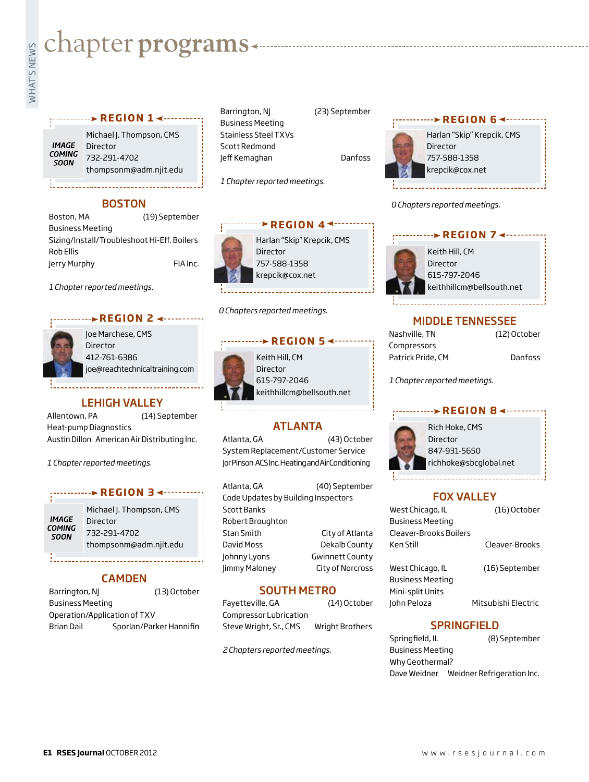# **whater programs**<br>Example:<br>Fig. 1

#### **REGION 14 - .......**

**IMAGE COMING** SOON

1. . . . . . . . . . . .

Michael J. Thompson, CMS Director 732-291-4702 thompsonm@adm.njit.edu

#### **BOSTON**

| Boston, MA                                  | (19) September |
|---------------------------------------------|----------------|
| <b>Business Meeting</b>                     |                |
| Sizing/Install/Troubleshoot Hi-Eff. Boilers |                |
| Rob Ellis                                   |                |
| Jerry Murphy                                | FIA Inc.       |

*1 Chapter reported meetings.*

#### *<u>REGION 2 4........</u>*



Joe Marchese, CMS Director 412-761-6386 joe@reachtechnicaltraining.com

#### LEHIGH VALLEY

Allentown, PA (14) September Heat-pump Diagnostics Austin Dillon American Air Distributing Inc.

*1 Chapter reported meetings.*

#### **REGION 3 → ········**

**IMAGE COMING SOON** 

Michael J. Thompson, CMS Director 732-291-4702 thompsonm@adm.njit.edu

## CAMDEN

Barrington, NJ (13) October Business Meeting Operation/Application of TXV Brian Dail Sporlan/Parker Hannifin Business Meeting Stainless Steel TXVs Scott Redmond Jeff Kemaghan Danfoss



*0 Chapters reported meetings.*



#### MIDDLE TENNESSEE

| Nashville, TN     |  |
|-------------------|--|
| Compressors       |  |
| Patrick Pride, CM |  |

**Danfoss** 

(12) October

*1 Chapter reported meetings.*

#### **r e g i o n 8**



Rich Hoke, CMS Director 847-931-5650 richhoke@sbcglobal.net

# FOX VALLEY

| West Chicago, IL        | (16) October        |
|-------------------------|---------------------|
| <b>Business Meeting</b> |                     |
| Cleaver-Brooks Boilers  |                     |
| Ken Still               | Cleaver-Brooks      |
| West Chicago, IL        | (16) September      |
| <b>Business Meeting</b> |                     |
| Mini-split Units        |                     |
| John Peloza             | Mitsubishi Electric |
|                         |                     |

## **SPRINGFIELD**

Springfield, IL (8) September Business Meeting Why Geothermal? Dave Weidner Weidner Refrigeration Inc.

# SOUTH METRO

Fayetteville, GA (14) October Compressor Lubrication Steve Wright, Sr., CMS Wright Brothers

*2 Chapters reported meetings.*

Keith Hill, CM Director 615-797-2046

Director 757-588-1358 krepcik@cox.net

*1 Chapter reported meetings.*

*0 Chapters reported meetings.*

keithhillcm@bellsouth.net

**REGION 5 <--------**

**REGION 44 ------**

ATLANTA Atlanta, GA (43) October System Replacement/Customer Service Jor Pinson ACS Inc. Heating and Air Conditioning

Atlanta, GA (40) September Code Updates by Building Inspectors

Stan Smith City of Atlanta David Moss Dekalb County Johnny Lyons **Gwinnett County** Jimmy Maloney City of Norcross

Scott Banks Robert Broughton